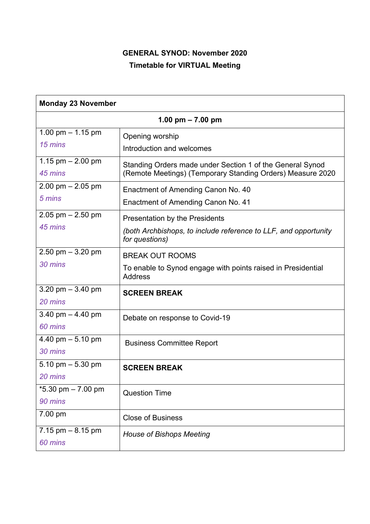## **GENERAL SYNOD: November 2020 Timetable for VIRTUAL Meeting**

| <b>Monday 23 November</b> |                                                                                |  |
|---------------------------|--------------------------------------------------------------------------------|--|
| 1.00 pm $- 7.00$ pm       |                                                                                |  |
| 1.00 pm $-$ 1.15 pm       | Opening worship                                                                |  |
| 15 mins                   | Introduction and welcomes                                                      |  |
| 1.15 pm $- 2.00$ pm       | Standing Orders made under Section 1 of the General Synod                      |  |
| 45 mins                   | (Remote Meetings) (Temporary Standing Orders) Measure 2020                     |  |
| $2.00$ pm $- 2.05$ pm     | Enactment of Amending Canon No. 40                                             |  |
| 5 mins                    | Enactment of Amending Canon No. 41                                             |  |
| $2.05$ pm $- 2.50$ pm     | Presentation by the Presidents                                                 |  |
| 45 mins                   | (both Archbishops, to include reference to LLF, and opportunity                |  |
|                           | for questions)                                                                 |  |
| $2.50$ pm $-3.20$ pm      | <b>BREAK OUT ROOMS</b>                                                         |  |
| 30 mins                   | To enable to Synod engage with points raised in Presidential<br><b>Address</b> |  |
| 3.20 pm $-$ 3.40 pm       |                                                                                |  |
| 20 mins                   | <b>SCREEN BREAK</b>                                                            |  |
| 3.40 pm $-$ 4.40 pm       |                                                                                |  |
| 60 mins                   | Debate on response to Covid-19                                                 |  |
| 4.40 pm $-5.10$ pm        | <b>Business Committee Report</b>                                               |  |
| 30 mins                   |                                                                                |  |
| 5.10 pm $-$ 5.30 pm       | <b>SCREEN BREAK</b>                                                            |  |
| 20 mins                   |                                                                                |  |
| $*5.30$ pm $-7.00$ pm     | <b>Question Time</b>                                                           |  |
| 90 mins                   |                                                                                |  |
| 7.00 pm                   | <b>Close of Business</b>                                                       |  |
| 7.15 $pm - 8.15$ pm       | <b>House of Bishops Meeting</b>                                                |  |
| 60 mins                   |                                                                                |  |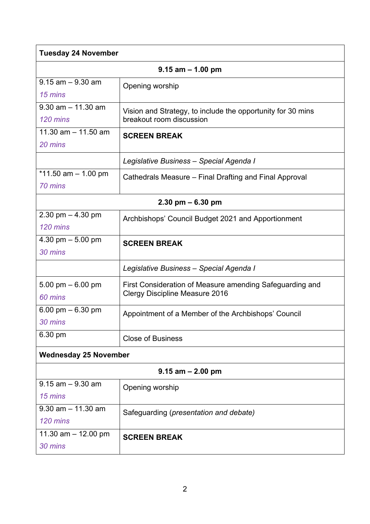| <b>Tuesday 24 November</b>         |                                                                                                   |  |
|------------------------------------|---------------------------------------------------------------------------------------------------|--|
| $9.15$ am $- 1.00$ pm              |                                                                                                   |  |
| $9.15$ am $-9.30$ am<br>15 mins    | Opening worship                                                                                   |  |
| $9.30$ am $- 11.30$ am<br>120 mins | Vision and Strategy, to include the opportunity for 30 mins<br>breakout room discussion           |  |
| 11.30 $am - 11.50$ am<br>20 mins   | <b>SCREEN BREAK</b>                                                                               |  |
|                                    | Legislative Business - Special Agenda I                                                           |  |
| $*11.50$ am $-1.00$ pm<br>70 mins  | Cathedrals Measure – Final Drafting and Final Approval                                            |  |
| $2.30$ pm $-6.30$ pm               |                                                                                                   |  |
| $2.30$ pm $- 4.30$ pm<br>120 mins  | Archbishops' Council Budget 2021 and Apportionment                                                |  |
| 4.30 pm $-5.00$ pm<br>30 mins      | <b>SCREEN BREAK</b>                                                                               |  |
|                                    | Legislative Business - Special Agenda I                                                           |  |
| 5.00 pm $-6.00$ pm<br>60 mins      | First Consideration of Measure amending Safeguarding and<br><b>Clergy Discipline Measure 2016</b> |  |
| 6.00 pm $-$ 6.30 pm<br>30 mins     | Appointment of a Member of the Archbishops' Council                                               |  |
| 6.30 pm                            | <b>Close of Business</b>                                                                          |  |
| <b>Wednesday 25 November</b>       |                                                                                                   |  |
| $9.15$ am $- 2.00$ pm              |                                                                                                   |  |
| $9.15$ am $-9.30$ am<br>15 mins    | Opening worship                                                                                   |  |
| $9.30$ am $-11.30$ am<br>120 mins  | Safeguarding (presentation and debate)                                                            |  |
| 11.30 am $-$ 12.00 pm<br>30 mins   | <b>SCREEN BREAK</b>                                                                               |  |